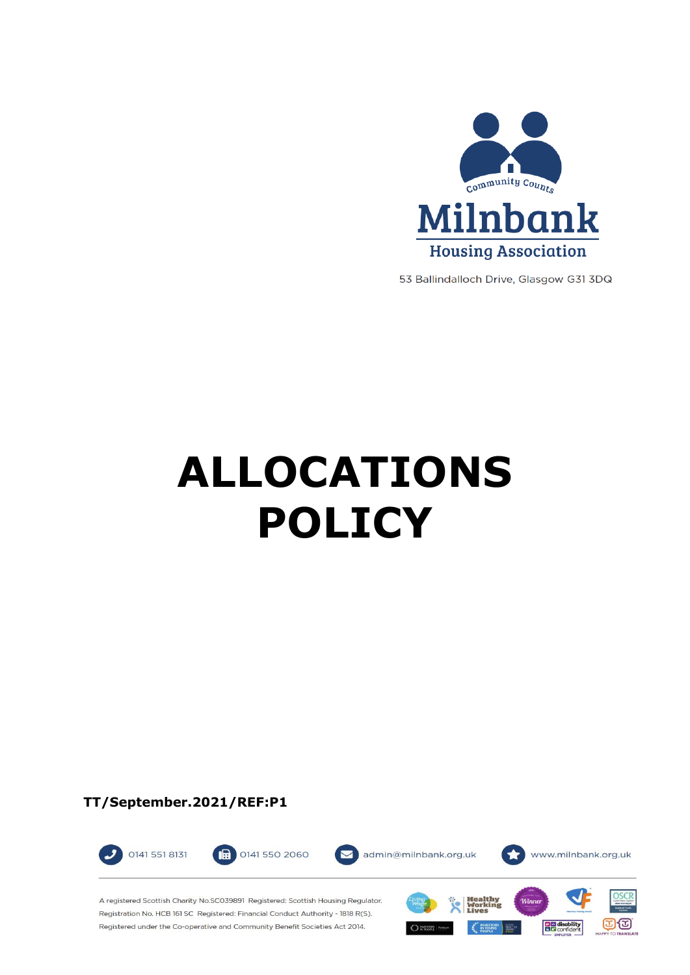

53 Ballindalloch Drive, Glasgow G31 3DQ

# **ALLOCATIONS POLICY**

**TT/September.2021/REF:P1**



A registered Scottish Charity No.SC039891 Registered: Scottish Housing Regulator. Registration No. HCB 161 SC Registered: Financial Conduct Authority - 1818 R(S). Registered under the Co-operative and Community Benefit Societies Act 2014.

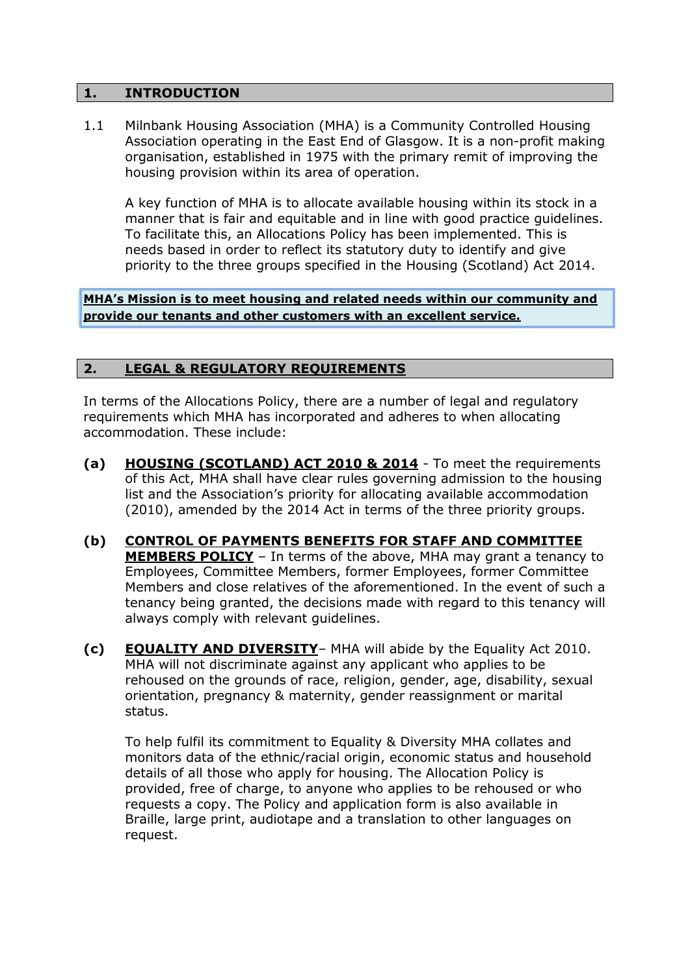#### **1. INTRODUCTION**

1.1 Milnbank Housing Association (MHA) is a Community Controlled Housing Association operating in the East End of Glasgow. It is a non-profit making organisation, established in 1975 with the primary remit of improving the housing provision within its area of operation.

A key function of MHA is to allocate available housing within its stock in a manner that is fair and equitable and in line with good practice guidelines. To facilitate this, an Allocations Policy has been implemented. This is needs based in order to reflect its statutory duty to identify and give priority to the three groups specified in the Housing (Scotland) Act 2014.

**MHA's Mission is to meet housing and related needs within our community and provide our tenants and other customers with an excellent service.**

## **2. LEGAL & REGULATORY REQUIREMENTS**

In terms of the Allocations Policy, there are a number of legal and regulatory requirements which MHA has incorporated and adheres to when allocating accommodation. These include:

- **(a) HOUSING (SCOTLAND) ACT 2010 & 2014** To meet the requirements of this Act, MHA shall have clear rules governing admission to the housing list and the Association's priority for allocating available accommodation (2010), amended by the 2014 Act in terms of the three priority groups.
- **(b) CONTROL OF PAYMENTS BENEFITS FOR STAFF AND COMMITTEE MEMBERS POLICY** – In terms of the above, MHA may grant a tenancy to Employees, Committee Members, former Employees, former Committee Members and close relatives of the aforementioned. In the event of such a tenancy being granted, the decisions made with regard to this tenancy will always comply with relevant guidelines.
- **(c) EQUALITY AND DIVERSITY** MHA will abide by the Equality Act 2010. MHA will not discriminate against any applicant who applies to be rehoused on the grounds of race, religion, gender, age, disability, sexual orientation, pregnancy & maternity, gender reassignment or marital status.

To help fulfil its commitment to Equality & Diversity MHA collates and monitors data of the ethnic/racial origin, economic status and household details of all those who apply for housing. The Allocation Policy is provided, free of charge, to anyone who applies to be rehoused or who requests a copy. The Policy and application form is also available in Braille, large print, audiotape and a translation to other languages on request.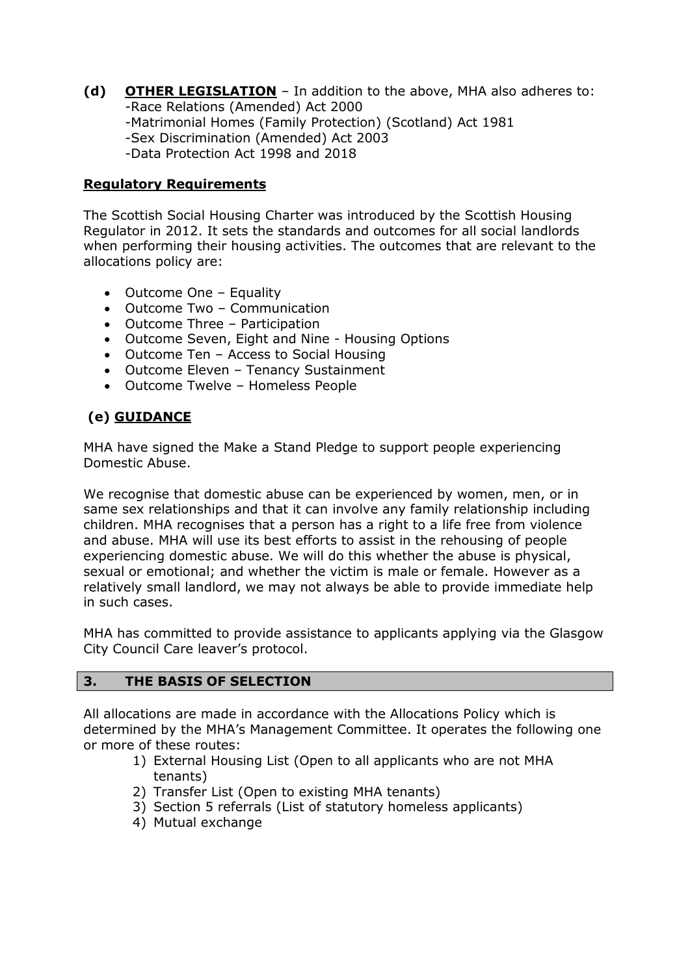**(d) OTHER LEGISLATION** – In addition to the above, MHA also adheres to: -Race Relations (Amended) Act 2000 -Matrimonial Homes (Family Protection) (Scotland) Act 1981 -Sex Discrimination (Amended) Act 2003 -Data Protection Act 1998 and 2018

## **Regulatory Requirements**

The Scottish Social Housing Charter was introduced by the Scottish Housing Regulator in 2012. It sets the standards and outcomes for all social landlords when performing their housing activities. The outcomes that are relevant to the allocations policy are:

- Outcome One Equality
- Outcome Two Communication
- Outcome Three Participation
- Outcome Seven, Eight and Nine Housing Options
- Outcome Ten Access to Social Housing
- Outcome Eleven Tenancy Sustainment
- Outcome Twelve Homeless People

# **(e) GUIDANCE**

MHA have signed the Make a Stand Pledge to support people experiencing Domestic Abuse.

We recognise that domestic abuse can be experienced by women, men, or in same sex relationships and that it can involve any family relationship including children. MHA recognises that a person has a right to a life free from violence and abuse. MHA will use its best efforts to assist in the rehousing of people experiencing domestic abuse. We will do this whether the abuse is physical, sexual or emotional; and whether the victim is male or female. However as a relatively small landlord, we may not always be able to provide immediate help in such cases.

MHA has committed to provide assistance to applicants applying via the Glasgow City Council Care leaver's protocol.

#### **3. THE BASIS OF SELECTION**

All allocations are made in accordance with the Allocations Policy which is determined by the MHA's Management Committee. It operates the following one or more of these routes:

- 1) External Housing List (Open to all applicants who are not MHA tenants)
- 2) Transfer List (Open to existing MHA tenants)
- 3) Section 5 referrals (List of statutory homeless applicants)
- 4) Mutual exchange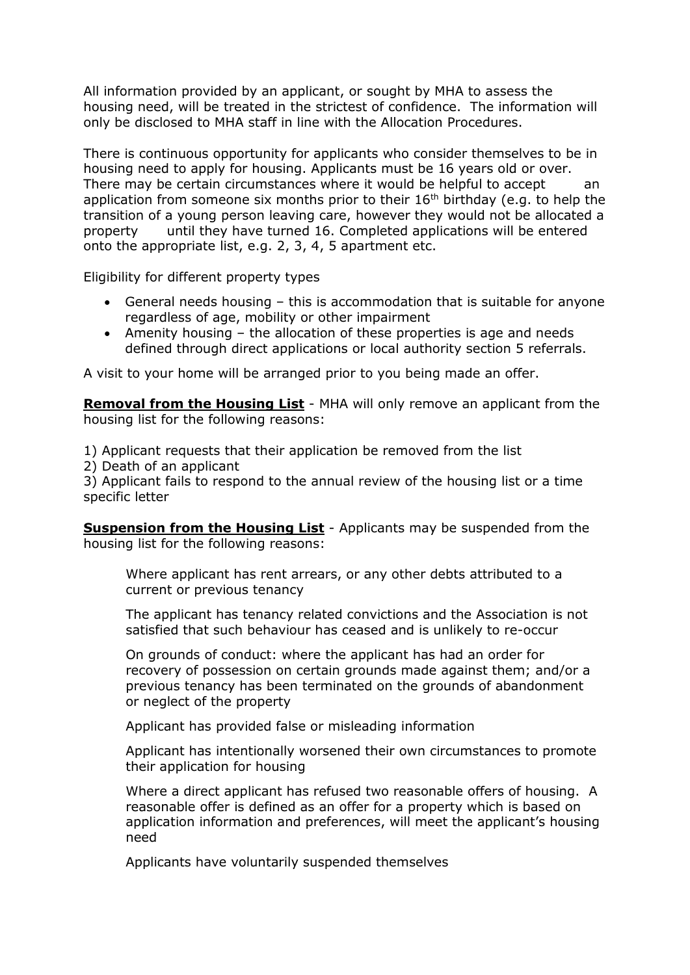All information provided by an applicant, or sought by MHA to assess the housing need, will be treated in the strictest of confidence. The information will only be disclosed to MHA staff in line with the Allocation Procedures.

There is continuous opportunity for applicants who consider themselves to be in housing need to apply for housing. Applicants must be 16 years old or over. There may be certain circumstances where it would be helpful to accept an application from someone six months prior to their  $16<sup>th</sup>$  birthday (e.g. to help the transition of a young person leaving care, however they would not be allocated a property until they have turned 16. Completed applications will be entered onto the appropriate list, e.g. 2, 3, 4, 5 apartment etc.

Eligibility for different property types

- General needs housing this is accommodation that is suitable for anyone regardless of age, mobility or other impairment
- Amenity housing the allocation of these properties is age and needs defined through direct applications or local authority section 5 referrals.

A visit to your home will be arranged prior to you being made an offer.

**Removal from the Housing List** - MHA will only remove an applicant from the housing list for the following reasons:

1) Applicant requests that their application be removed from the list

2) Death of an applicant

3) Applicant fails to respond to the annual review of the housing list or a time specific letter

**Suspension from the Housing List** - Applicants may be suspended from the housing list for the following reasons:

Where applicant has rent arrears, or any other debts attributed to a current or previous tenancy

The applicant has tenancy related convictions and the Association is not satisfied that such behaviour has ceased and is unlikely to re-occur

On grounds of conduct: where the applicant has had an order for recovery of possession on certain grounds made against them; and/or a previous tenancy has been terminated on the grounds of abandonment or neglect of the property

Applicant has provided false or misleading information

Applicant has intentionally worsened their own circumstances to promote their application for housing

Where a direct applicant has refused two reasonable offers of housing. A reasonable offer is defined as an offer for a property which is based on application information and preferences, will meet the applicant's housing need

Applicants have voluntarily suspended themselves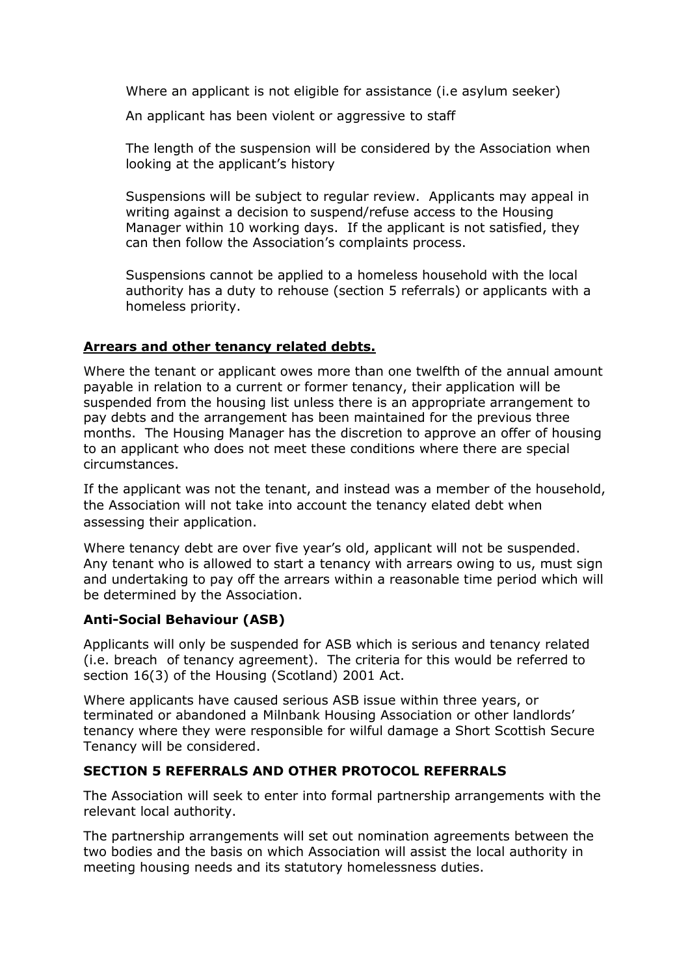Where an applicant is not eligible for assistance (i.e asylum seeker)

An applicant has been violent or aggressive to staff

The length of the suspension will be considered by the Association when looking at the applicant's history

Suspensions will be subject to regular review. Applicants may appeal in writing against a decision to suspend/refuse access to the Housing Manager within 10 working days. If the applicant is not satisfied, they can then follow the Association's complaints process.

Suspensions cannot be applied to a homeless household with the local authority has a duty to rehouse (section 5 referrals) or applicants with a homeless priority.

## **Arrears and other tenancy related debts.**

Where the tenant or applicant owes more than one twelfth of the annual amount payable in relation to a current or former tenancy, their application will be suspended from the housing list unless there is an appropriate arrangement to pay debts and the arrangement has been maintained for the previous three months. The Housing Manager has the discretion to approve an offer of housing to an applicant who does not meet these conditions where there are special circumstances.

If the applicant was not the tenant, and instead was a member of the household, the Association will not take into account the tenancy elated debt when assessing their application.

Where tenancy debt are over five year's old, applicant will not be suspended. Any tenant who is allowed to start a tenancy with arrears owing to us, must sign and undertaking to pay off the arrears within a reasonable time period which will be determined by the Association.

## **Anti-Social Behaviour (ASB)**

Applicants will only be suspended for ASB which is serious and tenancy related (i.e. breach of tenancy agreement). The criteria for this would be referred to section 16(3) of the Housing (Scotland) 2001 Act.

Where applicants have caused serious ASB issue within three years, or terminated or abandoned a Milnbank Housing Association or other landlords' tenancy where they were responsible for wilful damage a Short Scottish Secure Tenancy will be considered.

## **SECTION 5 REFERRALS AND OTHER PROTOCOL REFERRALS**

The Association will seek to enter into formal partnership arrangements with the relevant local authority.

The partnership arrangements will set out nomination agreements between the two bodies and the basis on which Association will assist the local authority in meeting housing needs and its statutory homelessness duties.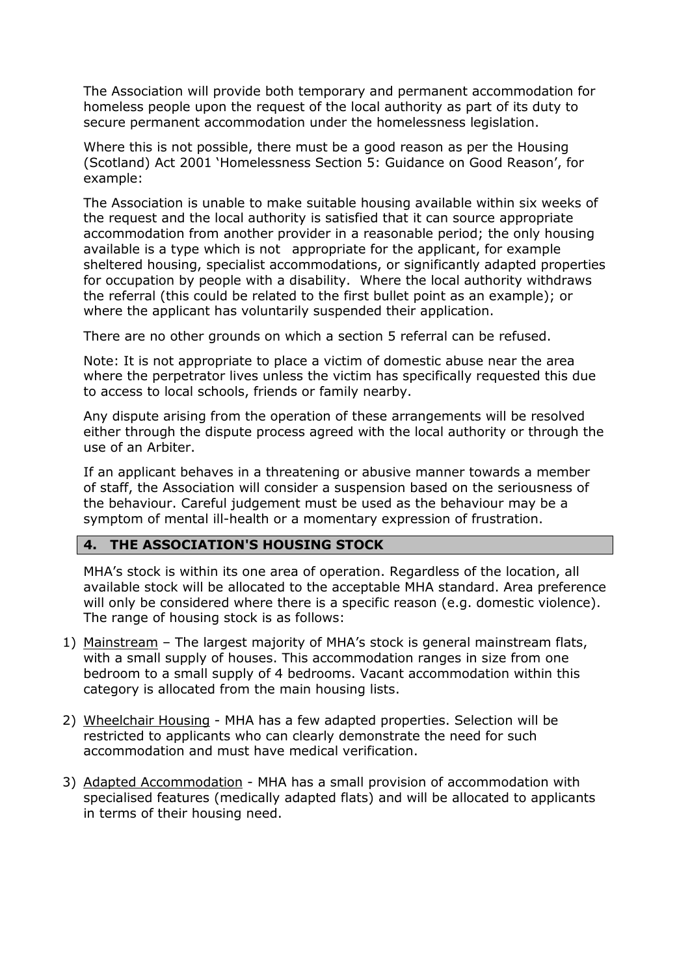The Association will provide both temporary and permanent accommodation for homeless people upon the request of the local authority as part of its duty to secure permanent accommodation under the homelessness legislation.

Where this is not possible, there must be a good reason as per the Housing (Scotland) Act 2001 'Homelessness Section 5: Guidance on Good Reason', for example:

The Association is unable to make suitable housing available within six weeks of the request and the local authority is satisfied that it can source appropriate accommodation from another provider in a reasonable period; the only housing available is a type which is not appropriate for the applicant, for example sheltered housing, specialist accommodations, or significantly adapted properties for occupation by people with a disability. Where the local authority withdraws the referral (this could be related to the first bullet point as an example); or where the applicant has voluntarily suspended their application.

There are no other grounds on which a section 5 referral can be refused.

Note: It is not appropriate to place a victim of domestic abuse near the area where the perpetrator lives unless the victim has specifically requested this due to access to local schools, friends or family nearby.

Any dispute arising from the operation of these arrangements will be resolved either through the dispute process agreed with the local authority or through the use of an Arbiter.

If an applicant behaves in a threatening or abusive manner towards a member of staff, the Association will consider a suspension based on the seriousness of the behaviour. Careful judgement must be used as the behaviour may be a symptom of mental ill-health or a momentary expression of frustration.

## **4. THE ASSOCIATION'S HOUSING STOCK**

MHA's stock is within its one area of operation. Regardless of the location, all available stock will be allocated to the acceptable MHA standard. Area preference will only be considered where there is a specific reason (e.g. domestic violence). The range of housing stock is as follows:

- 1) Mainstream The largest majority of MHA's stock is general mainstream flats, with a small supply of houses. This accommodation ranges in size from one bedroom to a small supply of 4 bedrooms. Vacant accommodation within this category is allocated from the main housing lists.
- 2) Wheelchair Housing MHA has a few adapted properties. Selection will be restricted to applicants who can clearly demonstrate the need for such accommodation and must have medical verification.
- 3) Adapted Accommodation MHA has a small provision of accommodation with specialised features (medically adapted flats) and will be allocated to applicants in terms of their housing need.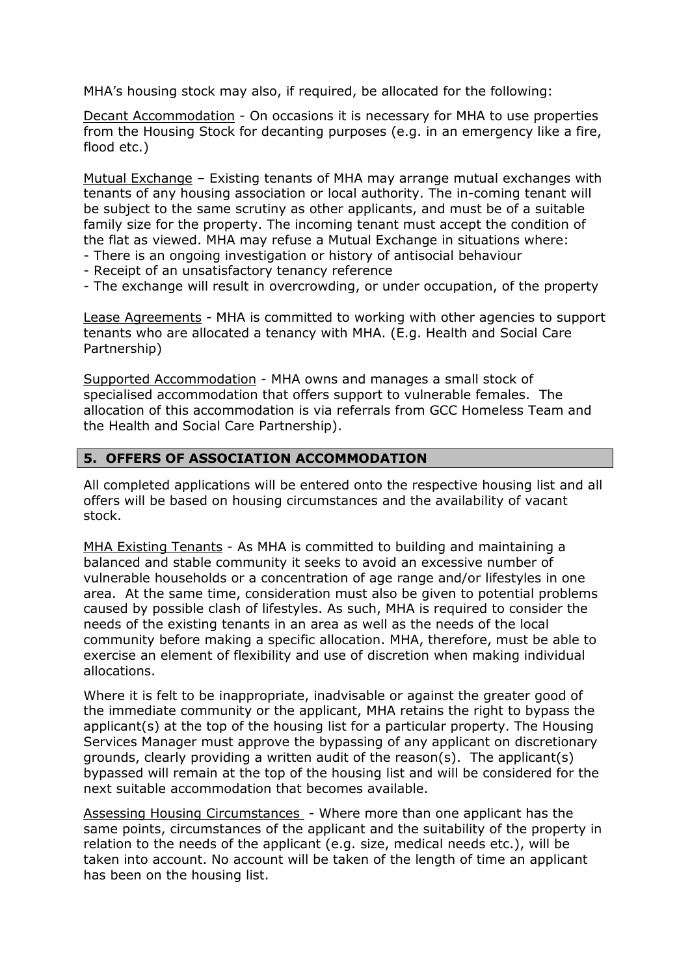MHA's housing stock may also, if required, be allocated for the following:

Decant Accommodation - On occasions it is necessary for MHA to use properties from the Housing Stock for decanting purposes (e.g. in an emergency like a fire, flood etc.)

Mutual Exchange – Existing tenants of MHA may arrange mutual exchanges with tenants of any housing association or local authority. The in-coming tenant will be subject to the same scrutiny as other applicants, and must be of a suitable family size for the property. The incoming tenant must accept the condition of the flat as viewed. MHA may refuse a Mutual Exchange in situations where:

- There is an ongoing investigation or history of antisocial behaviour
- Receipt of an unsatisfactory tenancy reference
- The exchange will result in overcrowding, or under occupation, of the property

Lease Agreements - MHA is committed to working with other agencies to support tenants who are allocated a tenancy with MHA. (E.g. Health and Social Care Partnership)

Supported Accommodation - MHA owns and manages a small stock of specialised accommodation that offers support to vulnerable females. The allocation of this accommodation is via referrals from GCC Homeless Team and the Health and Social Care Partnership).

#### **5. OFFERS OF ASSOCIATION ACCOMMODATION**

All completed applications will be entered onto the respective housing list and all offers will be based on housing circumstances and the availability of vacant stock.

MHA Existing Tenants - As MHA is committed to building and maintaining a balanced and stable community it seeks to avoid an excessive number of vulnerable households or a concentration of age range and/or lifestyles in one area. At the same time, consideration must also be given to potential problems caused by possible clash of lifestyles. As such, MHA is required to consider the needs of the existing tenants in an area as well as the needs of the local community before making a specific allocation. MHA, therefore, must be able to exercise an element of flexibility and use of discretion when making individual allocations.

Where it is felt to be inappropriate, inadvisable or against the greater good of the immediate community or the applicant, MHA retains the right to bypass the applicant(s) at the top of the housing list for a particular property. The Housing Services Manager must approve the bypassing of any applicant on discretionary grounds, clearly providing a written audit of the reason(s). The applicant(s) bypassed will remain at the top of the housing list and will be considered for the next suitable accommodation that becomes available.

Assessing Housing Circumstances - Where more than one applicant has the same points, circumstances of the applicant and the suitability of the property in relation to the needs of the applicant (e.g. size, medical needs etc.), will be taken into account. No account will be taken of the length of time an applicant has been on the housing list.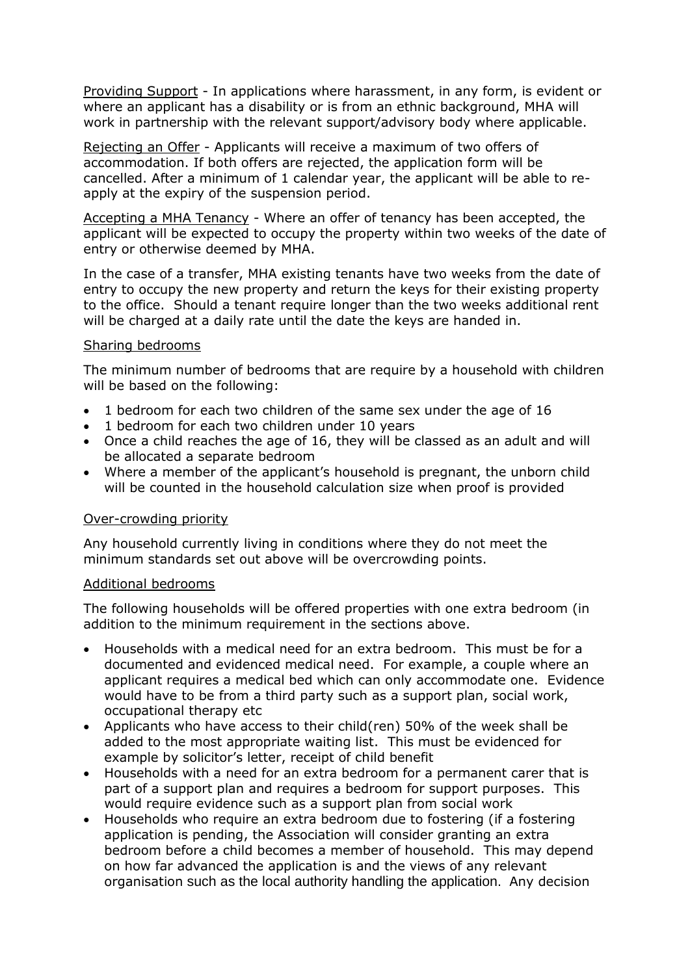Providing Support - In applications where harassment, in any form, is evident or where an applicant has a disability or is from an ethnic background, MHA will work in partnership with the relevant support/advisory body where applicable.

Rejecting an Offer - Applicants will receive a maximum of two offers of accommodation. If both offers are rejected, the application form will be cancelled. After a minimum of 1 calendar year, the applicant will be able to reapply at the expiry of the suspension period.

Accepting a MHA Tenancy - Where an offer of tenancy has been accepted, the applicant will be expected to occupy the property within two weeks of the date of entry or otherwise deemed by MHA.

In the case of a transfer, MHA existing tenants have two weeks from the date of entry to occupy the new property and return the keys for their existing property to the office. Should a tenant require longer than the two weeks additional rent will be charged at a daily rate until the date the keys are handed in.

#### Sharing bedrooms

The minimum number of bedrooms that are require by a household with children will be based on the following:

- 1 bedroom for each two children of the same sex under the age of 16
- 1 bedroom for each two children under 10 years
- Once a child reaches the age of 16, they will be classed as an adult and will be allocated a separate bedroom
- Where a member of the applicant's household is pregnant, the unborn child will be counted in the household calculation size when proof is provided

#### Over-crowding priority

Any household currently living in conditions where they do not meet the minimum standards set out above will be overcrowding points.

#### Additional bedrooms

The following households will be offered properties with one extra bedroom (in addition to the minimum requirement in the sections above.

- Households with a medical need for an extra bedroom. This must be for a documented and evidenced medical need. For example, a couple where an applicant requires a medical bed which can only accommodate one. Evidence would have to be from a third party such as a support plan, social work, occupational therapy etc
- Applicants who have access to their child(ren) 50% of the week shall be added to the most appropriate waiting list. This must be evidenced for example by solicitor's letter, receipt of child benefit
- Households with a need for an extra bedroom for a permanent carer that is part of a support plan and requires a bedroom for support purposes. This would require evidence such as a support plan from social work
- Households who require an extra bedroom due to fostering (if a fostering application is pending, the Association will consider granting an extra bedroom before a child becomes a member of household. This may depend on how far advanced the application is and the views of any relevant organisation such as the local authority handling the application. Any decision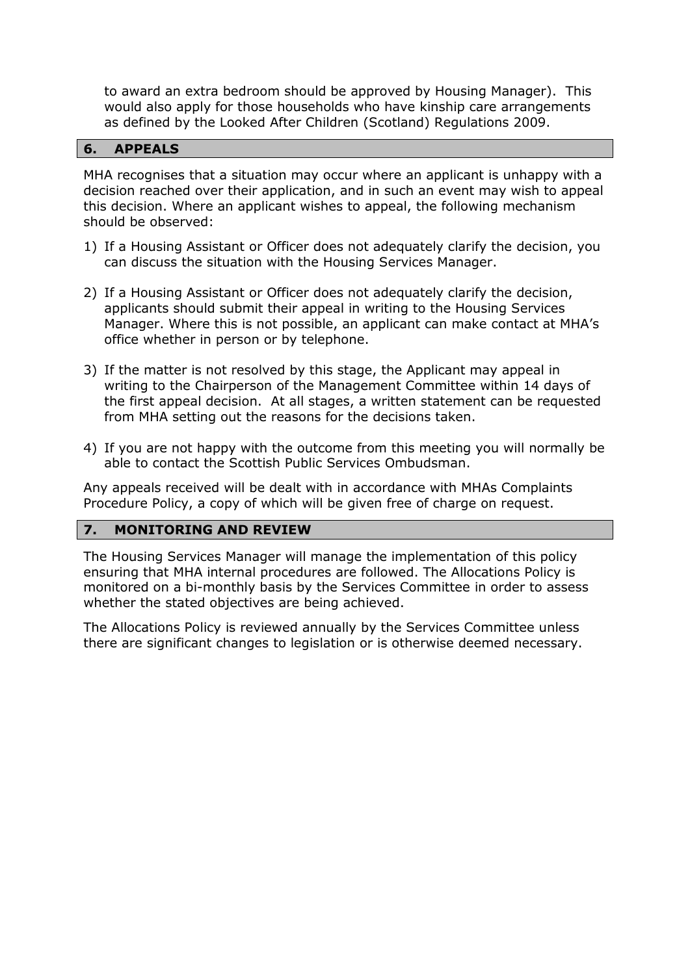to award an extra bedroom should be approved by Housing Manager). This would also apply for those households who have kinship care arrangements as defined by the Looked After Children (Scotland) Regulations 2009.

#### **6. APPEALS**

MHA recognises that a situation may occur where an applicant is unhappy with a decision reached over their application, and in such an event may wish to appeal this decision. Where an applicant wishes to appeal, the following mechanism should be observed:

- 1) If a Housing Assistant or Officer does not adequately clarify the decision, you can discuss the situation with the Housing Services Manager.
- 2) If a Housing Assistant or Officer does not adequately clarify the decision, applicants should submit their appeal in writing to the Housing Services Manager. Where this is not possible, an applicant can make contact at MHA's office whether in person or by telephone.
- 3) If the matter is not resolved by this stage, the Applicant may appeal in writing to the Chairperson of the Management Committee within 14 days of the first appeal decision. At all stages, a written statement can be requested from MHA setting out the reasons for the decisions taken.
- 4) If you are not happy with the outcome from this meeting you will normally be able to contact the Scottish Public Services Ombudsman.

Any appeals received will be dealt with in accordance with MHAs Complaints Procedure Policy, a copy of which will be given free of charge on request.

#### **7. MONITORING AND REVIEW**

The Housing Services Manager will manage the implementation of this policy ensuring that MHA internal procedures are followed. The Allocations Policy is monitored on a bi-monthly basis by the Services Committee in order to assess whether the stated objectives are being achieved.

The Allocations Policy is reviewed annually by the Services Committee unless there are significant changes to legislation or is otherwise deemed necessary.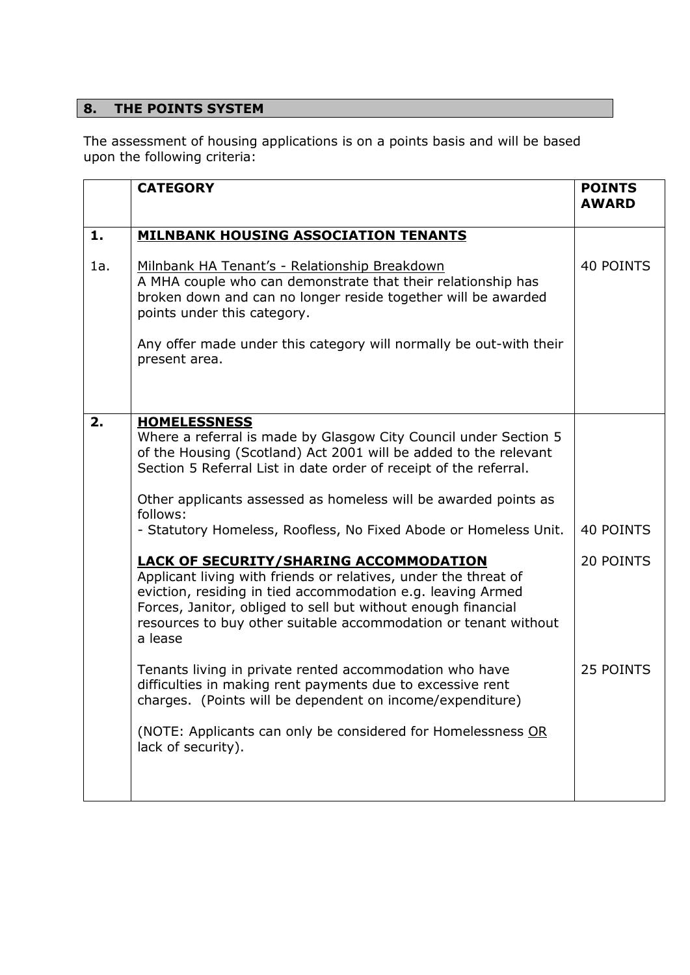# **8. THE POINTS SYSTEM**

The assessment of housing applications is on a points basis and will be based upon the following criteria:

|     | <b>CATEGORY</b>                                                                                                                                                                                                                                                                                                                | <b>POINTS</b><br><b>AWARD</b> |
|-----|--------------------------------------------------------------------------------------------------------------------------------------------------------------------------------------------------------------------------------------------------------------------------------------------------------------------------------|-------------------------------|
| 1.  | <b>MILNBANK HOUSING ASSOCIATION TENANTS</b>                                                                                                                                                                                                                                                                                    |                               |
| 1a. | Milnbank HA Tenant's - Relationship Breakdown<br>A MHA couple who can demonstrate that their relationship has<br>broken down and can no longer reside together will be awarded<br>points under this category.                                                                                                                  | 40 POINTS                     |
|     | Any offer made under this category will normally be out-with their<br>present area.                                                                                                                                                                                                                                            |                               |
| 2.  | <b>HOMELESSNESS</b><br>Where a referral is made by Glasgow City Council under Section 5<br>of the Housing (Scotland) Act 2001 will be added to the relevant<br>Section 5 Referral List in date order of receipt of the referral.                                                                                               |                               |
|     | Other applicants assessed as homeless will be awarded points as<br>follows:                                                                                                                                                                                                                                                    |                               |
|     | - Statutory Homeless, Roofless, No Fixed Abode or Homeless Unit.                                                                                                                                                                                                                                                               | 40 POINTS                     |
|     | <b>LACK OF SECURITY/SHARING ACCOMMODATION</b><br>Applicant living with friends or relatives, under the threat of<br>eviction, residing in tied accommodation e.g. leaving Armed<br>Forces, Janitor, obliged to sell but without enough financial<br>resources to buy other suitable accommodation or tenant without<br>a lease | 20 POINTS                     |
|     | Tenants living in private rented accommodation who have<br>difficulties in making rent payments due to excessive rent<br>charges. (Points will be dependent on income/expenditure)                                                                                                                                             | 25 POINTS                     |
|     | (NOTE: Applicants can only be considered for Homelessness OR<br>lack of security).                                                                                                                                                                                                                                             |                               |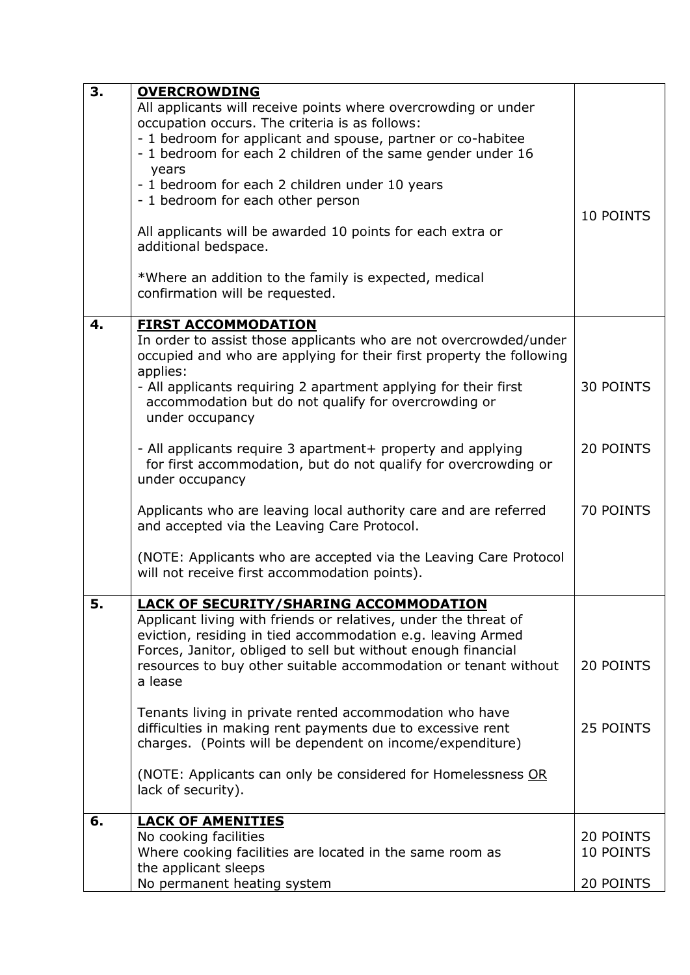| 3. | <b>OVERCROWDING</b>                                                                                                                       |                  |
|----|-------------------------------------------------------------------------------------------------------------------------------------------|------------------|
|    | All applicants will receive points where overcrowding or under                                                                            |                  |
|    | occupation occurs. The criteria is as follows:                                                                                            |                  |
|    | - 1 bedroom for applicant and spouse, partner or co-habitee                                                                               |                  |
|    | - 1 bedroom for each 2 children of the same gender under 16                                                                               |                  |
|    | years                                                                                                                                     |                  |
|    | - 1 bedroom for each 2 children under 10 years                                                                                            |                  |
|    | - 1 bedroom for each other person                                                                                                         |                  |
|    |                                                                                                                                           | 10 POINTS        |
|    | All applicants will be awarded 10 points for each extra or                                                                                |                  |
|    | additional bedspace.                                                                                                                      |                  |
|    |                                                                                                                                           |                  |
|    | *Where an addition to the family is expected, medical                                                                                     |                  |
|    | confirmation will be requested.                                                                                                           |                  |
|    |                                                                                                                                           |                  |
| 4. | <b>FIRST ACCOMMODATION</b>                                                                                                                |                  |
|    | In order to assist those applicants who are not overcrowded/under<br>occupied and who are applying for their first property the following |                  |
|    | applies:                                                                                                                                  |                  |
|    | - All applicants requiring 2 apartment applying for their first                                                                           | <b>30 POINTS</b> |
|    | accommodation but do not qualify for overcrowding or                                                                                      |                  |
|    | under occupancy                                                                                                                           |                  |
|    |                                                                                                                                           |                  |
|    | - All applicants require 3 apartment+ property and applying                                                                               | 20 POINTS        |
|    | for first accommodation, but do not qualify for overcrowding or                                                                           |                  |
|    | under occupancy                                                                                                                           |                  |
|    |                                                                                                                                           |                  |
|    | Applicants who are leaving local authority care and are referred                                                                          | 70 POINTS        |
|    | and accepted via the Leaving Care Protocol.                                                                                               |                  |
|    |                                                                                                                                           |                  |
|    | (NOTE: Applicants who are accepted via the Leaving Care Protocol                                                                          |                  |
|    | will not receive first accommodation points).                                                                                             |                  |
|    |                                                                                                                                           |                  |
| э. | <b>LACK OF SECURITY/SHARING ACCOMMODATION</b>                                                                                             |                  |
|    | Applicant living with friends or relatives, under the threat of                                                                           |                  |
|    | eviction, residing in tied accommodation e.g. leaving Armed                                                                               |                  |
|    | Forces, Janitor, obliged to sell but without enough financial                                                                             |                  |
|    | resources to buy other suitable accommodation or tenant without                                                                           | 20 POINTS        |
|    | a lease                                                                                                                                   |                  |
|    |                                                                                                                                           |                  |
|    | Tenants living in private rented accommodation who have<br>difficulties in making rent payments due to excessive rent                     | 25 POINTS        |
|    |                                                                                                                                           |                  |
|    | charges. (Points will be dependent on income/expenditure)                                                                                 |                  |
|    | (NOTE: Applicants can only be considered for Homelessness OR                                                                              |                  |
|    | lack of security).                                                                                                                        |                  |
|    |                                                                                                                                           |                  |
| 6. | <b>LACK OF AMENITIES</b>                                                                                                                  |                  |
|    | No cooking facilities                                                                                                                     | 20 POINTS        |
|    | Where cooking facilities are located in the same room as                                                                                  | 10 POINTS        |
|    | the applicant sleeps                                                                                                                      |                  |
|    | No permanent heating system                                                                                                               | 20 POINTS        |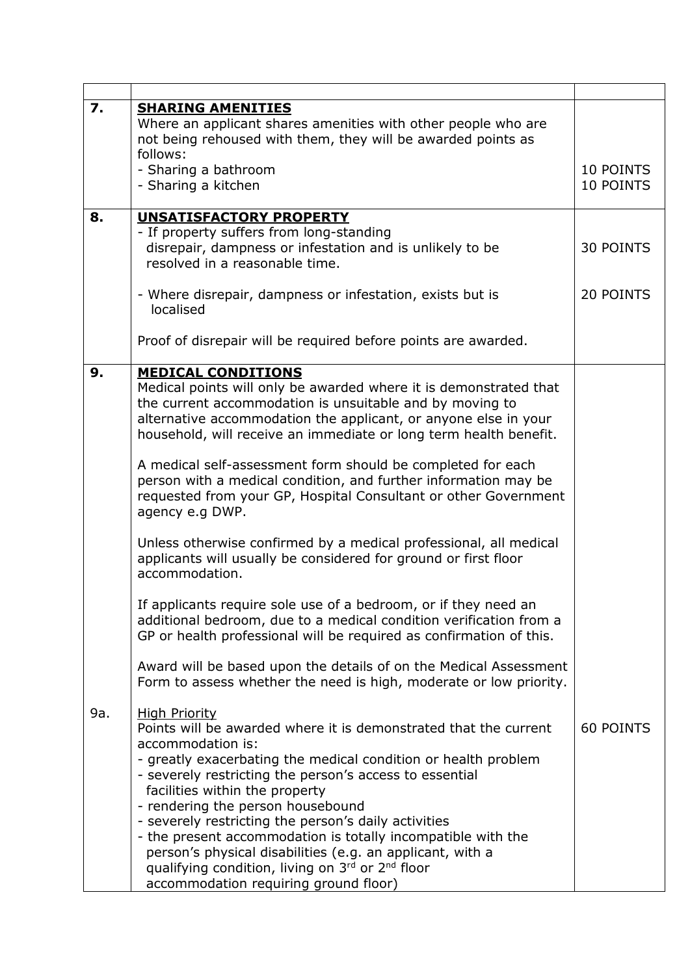| 7.  |                                                                                                                                                                                                                                                                                                                                                                                                                                                                                                                                                                                                     |                        |
|-----|-----------------------------------------------------------------------------------------------------------------------------------------------------------------------------------------------------------------------------------------------------------------------------------------------------------------------------------------------------------------------------------------------------------------------------------------------------------------------------------------------------------------------------------------------------------------------------------------------------|------------------------|
|     | <b>SHARING AMENITIES</b><br>Where an applicant shares amenities with other people who are<br>not being rehoused with them, they will be awarded points as<br>follows:                                                                                                                                                                                                                                                                                                                                                                                                                               |                        |
|     | - Sharing a bathroom<br>- Sharing a kitchen                                                                                                                                                                                                                                                                                                                                                                                                                                                                                                                                                         | 10 POINTS<br>10 POINTS |
| 8.  | <b>UNSATISFACTORY PROPERTY</b>                                                                                                                                                                                                                                                                                                                                                                                                                                                                                                                                                                      |                        |
|     | - If property suffers from long-standing<br>disrepair, dampness or infestation and is unlikely to be<br>resolved in a reasonable time.                                                                                                                                                                                                                                                                                                                                                                                                                                                              | <b>30 POINTS</b>       |
|     | - Where disrepair, dampness or infestation, exists but is<br>localised                                                                                                                                                                                                                                                                                                                                                                                                                                                                                                                              | 20 POINTS              |
|     | Proof of disrepair will be required before points are awarded.                                                                                                                                                                                                                                                                                                                                                                                                                                                                                                                                      |                        |
| 9.  | <b>MEDICAL CONDITIONS</b><br>Medical points will only be awarded where it is demonstrated that<br>the current accommodation is unsuitable and by moving to<br>alternative accommodation the applicant, or anyone else in your<br>household, will receive an immediate or long term health benefit.                                                                                                                                                                                                                                                                                                  |                        |
|     | A medical self-assessment form should be completed for each<br>person with a medical condition, and further information may be<br>requested from your GP, Hospital Consultant or other Government<br>agency e.g DWP.                                                                                                                                                                                                                                                                                                                                                                                |                        |
|     | Unless otherwise confirmed by a medical professional, all medical<br>applicants will usually be considered for ground or first floor<br>accommodation.                                                                                                                                                                                                                                                                                                                                                                                                                                              |                        |
|     | If applicants require sole use of a bedroom, or if they need an<br>additional bedroom, due to a medical condition verification from a<br>GP or health professional will be required as confirmation of this.                                                                                                                                                                                                                                                                                                                                                                                        |                        |
|     | Award will be based upon the details of on the Medical Assessment<br>Form to assess whether the need is high, moderate or low priority.                                                                                                                                                                                                                                                                                                                                                                                                                                                             |                        |
| 9a. | <b>High Priority</b><br>Points will be awarded where it is demonstrated that the current<br>accommodation is:<br>- greatly exacerbating the medical condition or health problem<br>- severely restricting the person's access to essential<br>facilities within the property<br>- rendering the person housebound<br>- severely restricting the person's daily activities<br>- the present accommodation is totally incompatible with the<br>person's physical disabilities (e.g. an applicant, with a<br>qualifying condition, living on 3rd or 2nd floor<br>accommodation requiring ground floor) | <b>60 POINTS</b>       |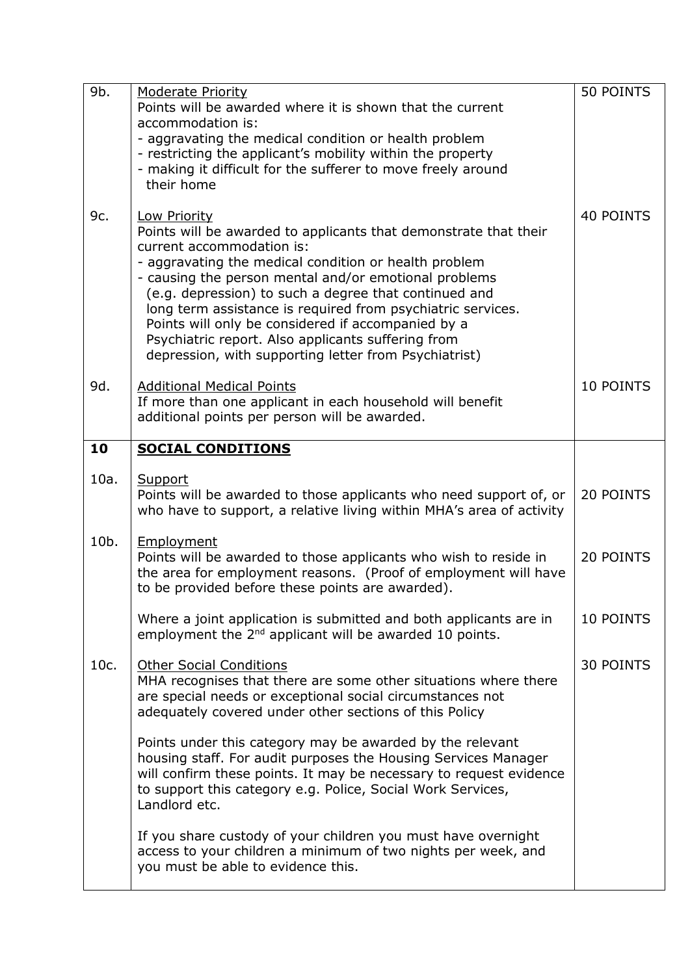| 9b.  | <b>Moderate Priority</b>                                                                                   | 50 POINTS        |
|------|------------------------------------------------------------------------------------------------------------|------------------|
|      | Points will be awarded where it is shown that the current                                                  |                  |
|      | accommodation is:                                                                                          |                  |
|      | - aggravating the medical condition or health problem                                                      |                  |
|      | - restricting the applicant's mobility within the property                                                 |                  |
|      | - making it difficult for the sufferer to move freely around                                               |                  |
|      | their home                                                                                                 |                  |
|      |                                                                                                            |                  |
| 9c.  | <b>Low Priority</b>                                                                                        | <b>40 POINTS</b> |
|      | Points will be awarded to applicants that demonstrate that their                                           |                  |
|      | current accommodation is:                                                                                  |                  |
|      | - aggravating the medical condition or health problem                                                      |                  |
|      | - causing the person mental and/or emotional problems                                                      |                  |
|      | (e.g. depression) to such a degree that continued and                                                      |                  |
|      | long term assistance is required from psychiatric services.                                                |                  |
|      | Points will only be considered if accompanied by a                                                         |                  |
|      | Psychiatric report. Also applicants suffering from                                                         |                  |
|      | depression, with supporting letter from Psychiatrist)                                                      |                  |
|      |                                                                                                            |                  |
| 9d.  | <b>Additional Medical Points</b>                                                                           | 10 POINTS        |
|      | If more than one applicant in each household will benefit<br>additional points per person will be awarded. |                  |
|      |                                                                                                            |                  |
| 10   | <b>SOCIAL CONDITIONS</b>                                                                                   |                  |
|      |                                                                                                            |                  |
| 10a. | Support                                                                                                    |                  |
|      | Points will be awarded to those applicants who need support of, or                                         | 20 POINTS        |
|      | who have to support, a relative living within MHA's area of activity                                       |                  |
|      |                                                                                                            |                  |
| 10b. | Employment                                                                                                 |                  |
|      | Points will be awarded to those applicants who wish to reside in                                           | 20 POINTS        |
|      | the area for employment reasons. (Proof of employment will have                                            |                  |
|      | to be provided before these points are awarded).                                                           |                  |
|      |                                                                                                            |                  |
|      | Where a joint application is submitted and both applicants are in                                          | 10 POINTS        |
|      | employment the 2 <sup>nd</sup> applicant will be awarded 10 points.                                        |                  |
| 10c. | <b>Other Social Conditions</b>                                                                             | <b>30 POINTS</b> |
|      | MHA recognises that there are some other situations where there                                            |                  |
|      | are special needs or exceptional social circumstances not                                                  |                  |
|      | adequately covered under other sections of this Policy                                                     |                  |
|      |                                                                                                            |                  |
|      | Points under this category may be awarded by the relevant                                                  |                  |
|      | housing staff. For audit purposes the Housing Services Manager                                             |                  |
|      | will confirm these points. It may be necessary to request evidence                                         |                  |
|      | to support this category e.g. Police, Social Work Services,                                                |                  |
|      | Landlord etc.                                                                                              |                  |
|      |                                                                                                            |                  |
|      | If you share custody of your children you must have overnight                                              |                  |
|      | access to your children a minimum of two nights per week, and                                              |                  |
|      | you must be able to evidence this.                                                                         |                  |
|      |                                                                                                            |                  |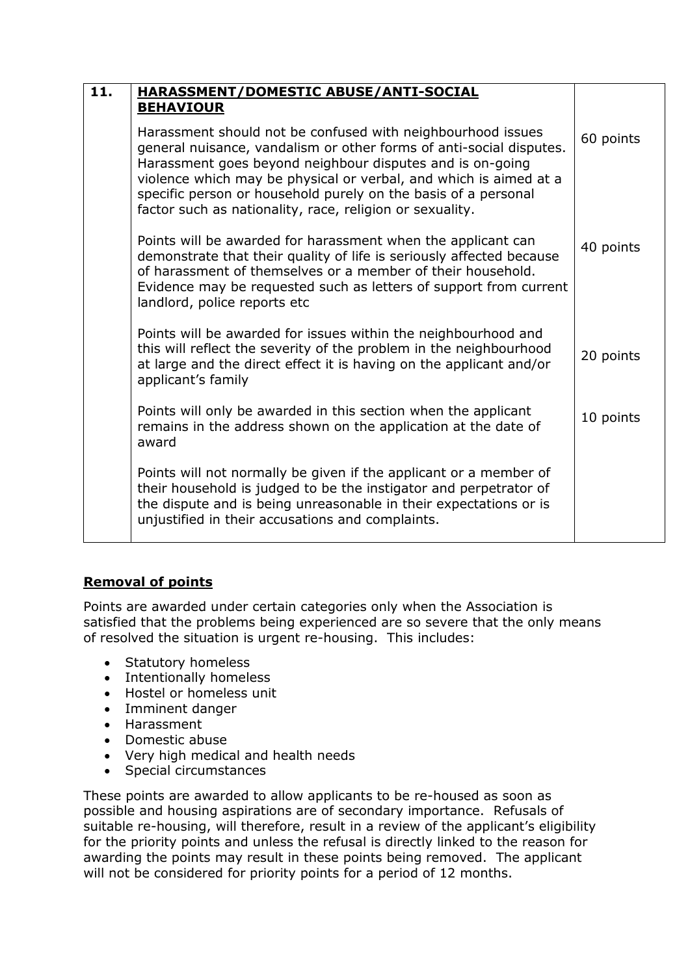| 11. | <b>HARASSMENT/DOMESTIC ABUSE/ANTI-SOCIAL</b>                                                                                                                                                                                                                                                                                                                                                       |           |
|-----|----------------------------------------------------------------------------------------------------------------------------------------------------------------------------------------------------------------------------------------------------------------------------------------------------------------------------------------------------------------------------------------------------|-----------|
|     | <b>BEHAVIOUR</b>                                                                                                                                                                                                                                                                                                                                                                                   |           |
|     | Harassment should not be confused with neighbourhood issues<br>general nuisance, vandalism or other forms of anti-social disputes.<br>Harassment goes beyond neighbour disputes and is on-going<br>violence which may be physical or verbal, and which is aimed at a<br>specific person or household purely on the basis of a personal<br>factor such as nationality, race, religion or sexuality. | 60 points |
|     | Points will be awarded for harassment when the applicant can<br>demonstrate that their quality of life is seriously affected because<br>of harassment of themselves or a member of their household.<br>Evidence may be requested such as letters of support from current<br>landlord, police reports etc                                                                                           | 40 points |
|     | Points will be awarded for issues within the neighbourhood and<br>this will reflect the severity of the problem in the neighbourhood<br>at large and the direct effect it is having on the applicant and/or<br>applicant's family                                                                                                                                                                  | 20 points |
|     | Points will only be awarded in this section when the applicant<br>remains in the address shown on the application at the date of<br>award                                                                                                                                                                                                                                                          | 10 points |
|     | Points will not normally be given if the applicant or a member of<br>their household is judged to be the instigator and perpetrator of<br>the dispute and is being unreasonable in their expectations or is<br>unjustified in their accusations and complaints.                                                                                                                                    |           |

# **Removal of points**

Points are awarded under certain categories only when the Association is satisfied that the problems being experienced are so severe that the only means of resolved the situation is urgent re-housing. This includes:

- Statutory homeless
- Intentionally homeless
- Hostel or homeless unit
- Imminent danger
- Harassment
- Domestic abuse
- Very high medical and health needs
- Special circumstances

These points are awarded to allow applicants to be re-housed as soon as possible and housing aspirations are of secondary importance. Refusals of suitable re-housing, will therefore, result in a review of the applicant's eligibility for the priority points and unless the refusal is directly linked to the reason for awarding the points may result in these points being removed. The applicant will not be considered for priority points for a period of 12 months.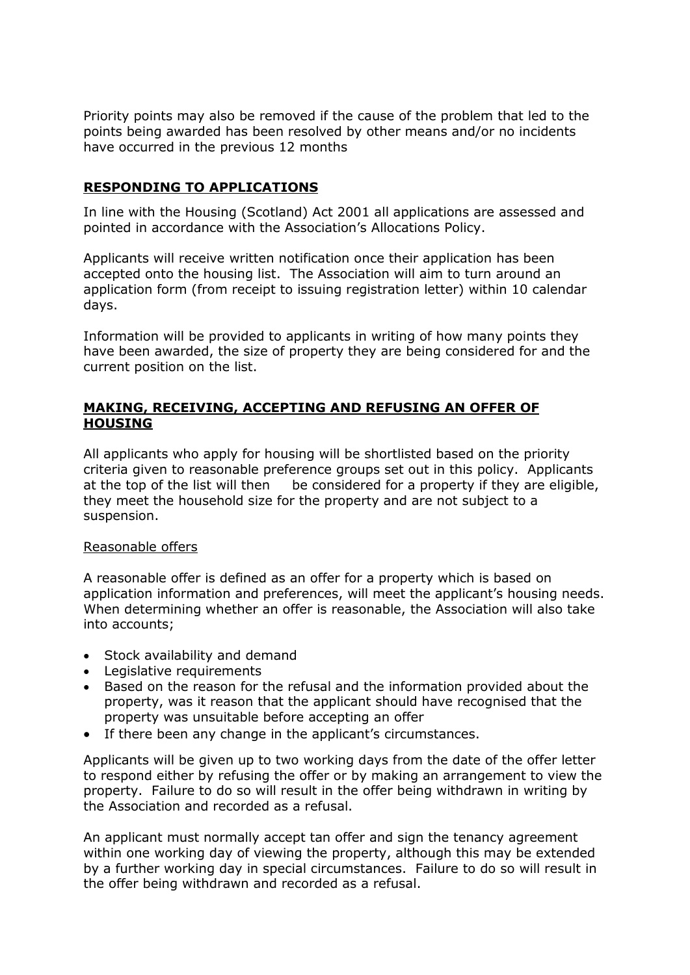Priority points may also be removed if the cause of the problem that led to the points being awarded has been resolved by other means and/or no incidents have occurred in the previous 12 months

## **RESPONDING TO APPLICATIONS**

In line with the Housing (Scotland) Act 2001 all applications are assessed and pointed in accordance with the Association's Allocations Policy.

Applicants will receive written notification once their application has been accepted onto the housing list. The Association will aim to turn around an application form (from receipt to issuing registration letter) within 10 calendar days.

Information will be provided to applicants in writing of how many points they have been awarded, the size of property they are being considered for and the current position on the list.

## **MAKING, RECEIVING, ACCEPTING AND REFUSING AN OFFER OF HOUSING**

All applicants who apply for housing will be shortlisted based on the priority criteria given to reasonable preference groups set out in this policy. Applicants at the top of the list will then be considered for a property if they are eligible, they meet the household size for the property and are not subject to a suspension.

#### Reasonable offers

A reasonable offer is defined as an offer for a property which is based on application information and preferences, will meet the applicant's housing needs. When determining whether an offer is reasonable, the Association will also take into accounts;

- Stock availability and demand
- Legislative requirements
- Based on the reason for the refusal and the information provided about the property, was it reason that the applicant should have recognised that the property was unsuitable before accepting an offer
- If there been any change in the applicant's circumstances.

Applicants will be given up to two working days from the date of the offer letter to respond either by refusing the offer or by making an arrangement to view the property. Failure to do so will result in the offer being withdrawn in writing by the Association and recorded as a refusal.

An applicant must normally accept tan offer and sign the tenancy agreement within one working day of viewing the property, although this may be extended by a further working day in special circumstances. Failure to do so will result in the offer being withdrawn and recorded as a refusal.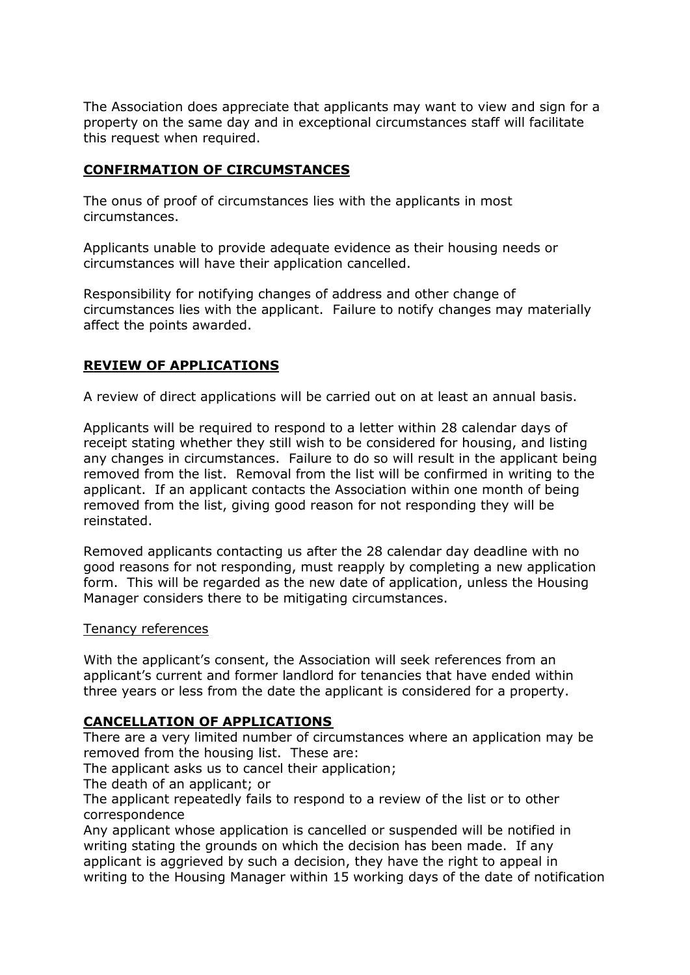The Association does appreciate that applicants may want to view and sign for a property on the same day and in exceptional circumstances staff will facilitate this request when required.

## **CONFIRMATION OF CIRCUMSTANCES**

The onus of proof of circumstances lies with the applicants in most circumstances.

Applicants unable to provide adequate evidence as their housing needs or circumstances will have their application cancelled.

Responsibility for notifying changes of address and other change of circumstances lies with the applicant. Failure to notify changes may materially affect the points awarded.

## **REVIEW OF APPLICATIONS**

A review of direct applications will be carried out on at least an annual basis.

Applicants will be required to respond to a letter within 28 calendar days of receipt stating whether they still wish to be considered for housing, and listing any changes in circumstances. Failure to do so will result in the applicant being removed from the list. Removal from the list will be confirmed in writing to the applicant. If an applicant contacts the Association within one month of being removed from the list, giving good reason for not responding they will be reinstated.

Removed applicants contacting us after the 28 calendar day deadline with no good reasons for not responding, must reapply by completing a new application form. This will be regarded as the new date of application, unless the Housing Manager considers there to be mitigating circumstances.

#### Tenancy references

With the applicant's consent, the Association will seek references from an applicant's current and former landlord for tenancies that have ended within three years or less from the date the applicant is considered for a property.

#### **CANCELLATION OF APPLICATIONS**

There are a very limited number of circumstances where an application may be removed from the housing list. These are:

The applicant asks us to cancel their application;

The death of an applicant; or

The applicant repeatedly fails to respond to a review of the list or to other correspondence

Any applicant whose application is cancelled or suspended will be notified in writing stating the grounds on which the decision has been made. If any applicant is aggrieved by such a decision, they have the right to appeal in writing to the Housing Manager within 15 working days of the date of notification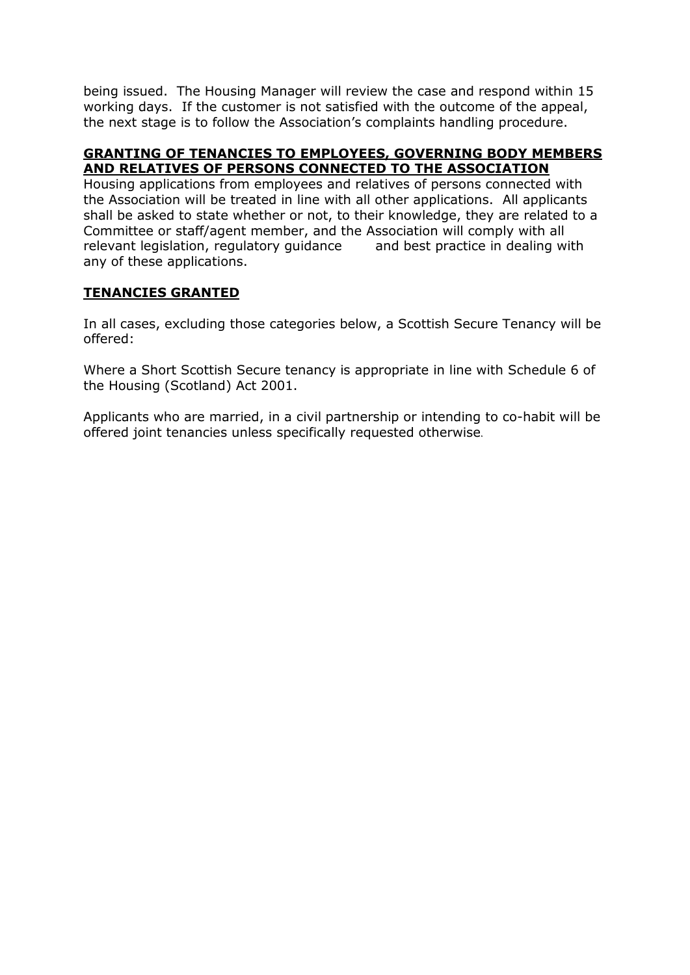being issued. The Housing Manager will review the case and respond within 15 working days. If the customer is not satisfied with the outcome of the appeal, the next stage is to follow the Association's complaints handling procedure.

## **GRANTING OF TENANCIES TO EMPLOYEES, GOVERNING BODY MEMBERS AND RELATIVES OF PERSONS CONNECTED TO THE ASSOCIATION**

Housing applications from employees and relatives of persons connected with the Association will be treated in line with all other applications. All applicants shall be asked to state whether or not, to their knowledge, they are related to a Committee or staff/agent member, and the Association will comply with all relevant legislation, regulatory guidance and best practice in dealing with any of these applications.

# **TENANCIES GRANTED**

In all cases, excluding those categories below, a Scottish Secure Tenancy will be offered:

Where a Short Scottish Secure tenancy is appropriate in line with Schedule 6 of the Housing (Scotland) Act 2001.

Applicants who are married, in a civil partnership or intending to co-habit will be offered joint tenancies unless specifically requested otherwise.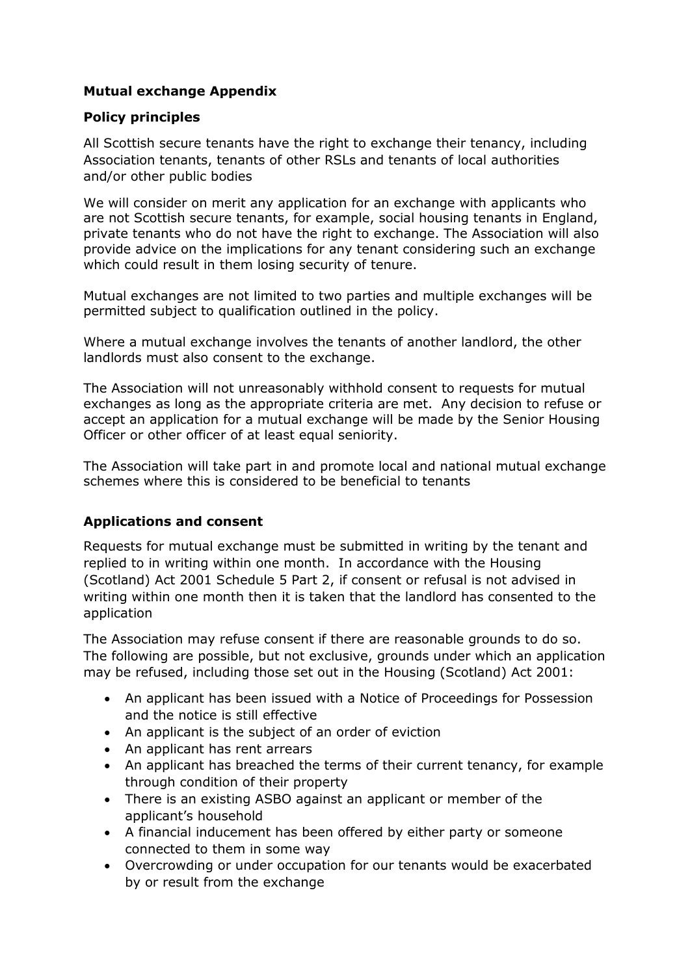# **Mutual exchange Appendix**

## **Policy principles**

All Scottish secure tenants have the right to exchange their tenancy, including Association tenants, tenants of other RSLs and tenants of local authorities and/or other public bodies

We will consider on merit any application for an exchange with applicants who are not Scottish secure tenants, for example, social housing tenants in England, private tenants who do not have the right to exchange. The Association will also provide advice on the implications for any tenant considering such an exchange which could result in them losing security of tenure.

Mutual exchanges are not limited to two parties and multiple exchanges will be permitted subject to qualification outlined in the policy.

Where a mutual exchange involves the tenants of another landlord, the other landlords must also consent to the exchange.

The Association will not unreasonably withhold consent to requests for mutual exchanges as long as the appropriate criteria are met. Any decision to refuse or accept an application for a mutual exchange will be made by the Senior Housing Officer or other officer of at least equal seniority.

The Association will take part in and promote local and national mutual exchange schemes where this is considered to be beneficial to tenants

## **Applications and consent**

Requests for mutual exchange must be submitted in writing by the tenant and replied to in writing within one month. In accordance with the Housing (Scotland) Act 2001 Schedule 5 Part 2, if consent or refusal is not advised in writing within one month then it is taken that the landlord has consented to the application

The Association may refuse consent if there are reasonable grounds to do so. The following are possible, but not exclusive, grounds under which an application may be refused, including those set out in the Housing (Scotland) Act 2001:

- An applicant has been issued with a Notice of Proceedings for Possession and the notice is still effective
- An applicant is the subject of an order of eviction
- An applicant has rent arrears
- An applicant has breached the terms of their current tenancy, for example through condition of their property
- There is an existing ASBO against an applicant or member of the applicant's household
- A financial inducement has been offered by either party or someone connected to them in some way
- Overcrowding or under occupation for our tenants would be exacerbated by or result from the exchange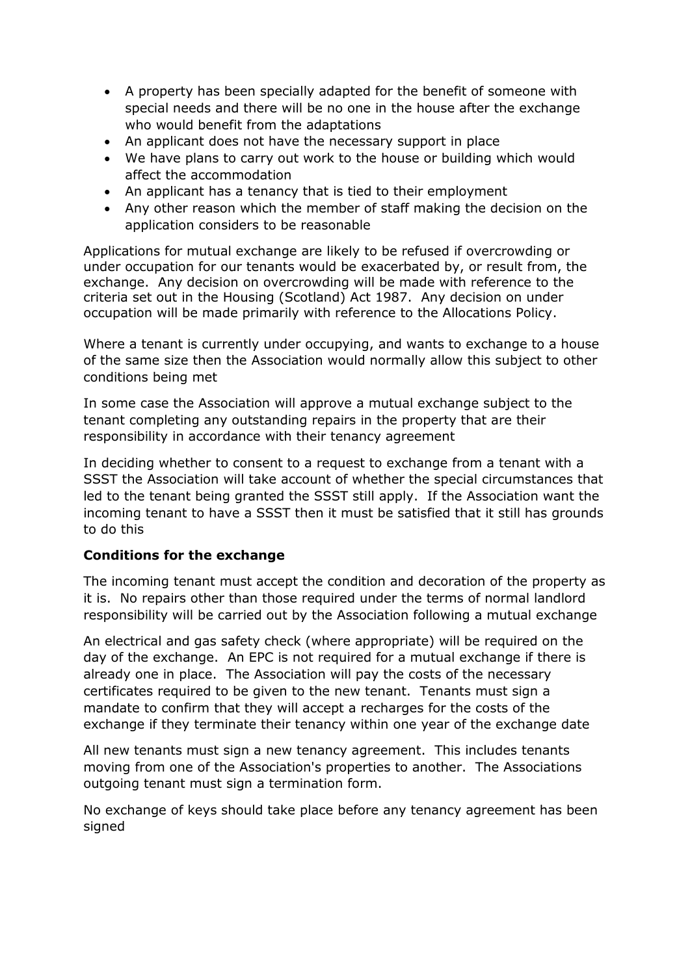- A property has been specially adapted for the benefit of someone with special needs and there will be no one in the house after the exchange who would benefit from the adaptations
- An applicant does not have the necessary support in place
- We have plans to carry out work to the house or building which would affect the accommodation
- An applicant has a tenancy that is tied to their employment
- Any other reason which the member of staff making the decision on the application considers to be reasonable

Applications for mutual exchange are likely to be refused if overcrowding or under occupation for our tenants would be exacerbated by, or result from, the exchange. Any decision on overcrowding will be made with reference to the criteria set out in the Housing (Scotland) Act 1987. Any decision on under occupation will be made primarily with reference to the Allocations Policy.

Where a tenant is currently under occupying, and wants to exchange to a house of the same size then the Association would normally allow this subject to other conditions being met

In some case the Association will approve a mutual exchange subject to the tenant completing any outstanding repairs in the property that are their responsibility in accordance with their tenancy agreement

In deciding whether to consent to a request to exchange from a tenant with a SSST the Association will take account of whether the special circumstances that led to the tenant being granted the SSST still apply. If the Association want the incoming tenant to have a SSST then it must be satisfied that it still has grounds to do this

# **Conditions for the exchange**

The incoming tenant must accept the condition and decoration of the property as it is. No repairs other than those required under the terms of normal landlord responsibility will be carried out by the Association following a mutual exchange

An electrical and gas safety check (where appropriate) will be required on the day of the exchange. An EPC is not required for a mutual exchange if there is already one in place. The Association will pay the costs of the necessary certificates required to be given to the new tenant. Tenants must sign a mandate to confirm that they will accept a recharges for the costs of the exchange if they terminate their tenancy within one year of the exchange date

All new tenants must sign a new tenancy agreement. This includes tenants moving from one of the Association's properties to another. The Associations outgoing tenant must sign a termination form.

No exchange of keys should take place before any tenancy agreement has been signed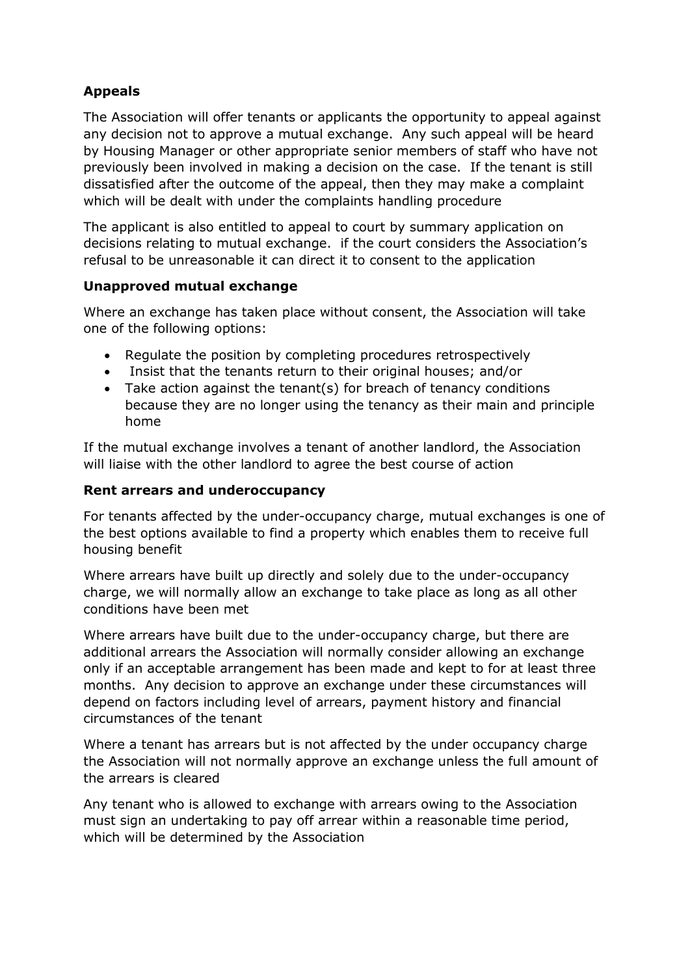# **Appeals**

The Association will offer tenants or applicants the opportunity to appeal against any decision not to approve a mutual exchange. Any such appeal will be heard by Housing Manager or other appropriate senior members of staff who have not previously been involved in making a decision on the case. If the tenant is still dissatisfied after the outcome of the appeal, then they may make a complaint which will be dealt with under the complaints handling procedure

The applicant is also entitled to appeal to court by summary application on decisions relating to mutual exchange. if the court considers the Association's refusal to be unreasonable it can direct it to consent to the application

## **Unapproved mutual exchange**

Where an exchange has taken place without consent, the Association will take one of the following options:

- Regulate the position by completing procedures retrospectively
- Insist that the tenants return to their original houses; and/or
- Take action against the tenant(s) for breach of tenancy conditions because they are no longer using the tenancy as their main and principle home

If the mutual exchange involves a tenant of another landlord, the Association will liaise with the other landlord to agree the best course of action

## **Rent arrears and underoccupancy**

For tenants affected by the under-occupancy charge, mutual exchanges is one of the best options available to find a property which enables them to receive full housing benefit

Where arrears have built up directly and solely due to the under-occupancy charge, we will normally allow an exchange to take place as long as all other conditions have been met

Where arrears have built due to the under-occupancy charge, but there are additional arrears the Association will normally consider allowing an exchange only if an acceptable arrangement has been made and kept to for at least three months. Any decision to approve an exchange under these circumstances will depend on factors including level of arrears, payment history and financial circumstances of the tenant

Where a tenant has arrears but is not affected by the under occupancy charge the Association will not normally approve an exchange unless the full amount of the arrears is cleared

Any tenant who is allowed to exchange with arrears owing to the Association must sign an undertaking to pay off arrear within a reasonable time period, which will be determined by the Association